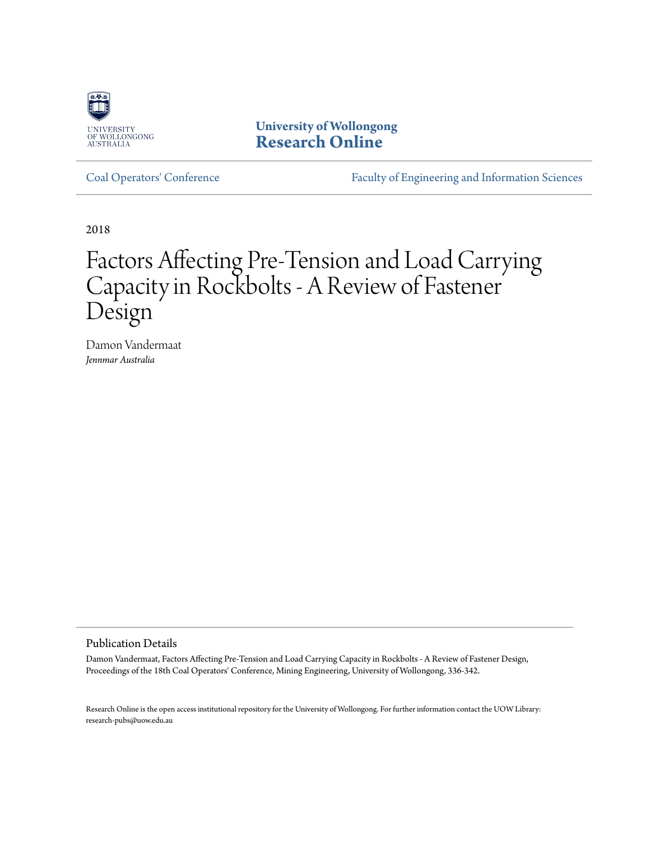

**University of Wollongong [Research Online](http://ro.uow.edu.au)**

[Coal Operators' Conference](http://ro.uow.edu.au/coal) [Faculty of Engineering and Information Sciences](http://ro.uow.edu.au/eis)

2018

# Factors Affecting Pre-Tension and Load Carrying Capacity in Rockbolts - A Review of Fastener Design

Damon Vandermaat *Jennmar Australia*

#### Publication Details

Damon Vandermaat, Factors Affecting Pre-Tension and Load Carrying Capacity in Rockbolts - A Review of Fastener Design, Proceedings of the 18th Coal Operators' Conference, Mining Engineering, University of Wollongong, 336-342.

Research Online is the open access institutional repository for the University of Wollongong. For further information contact the UOW Library: research-pubs@uow.edu.au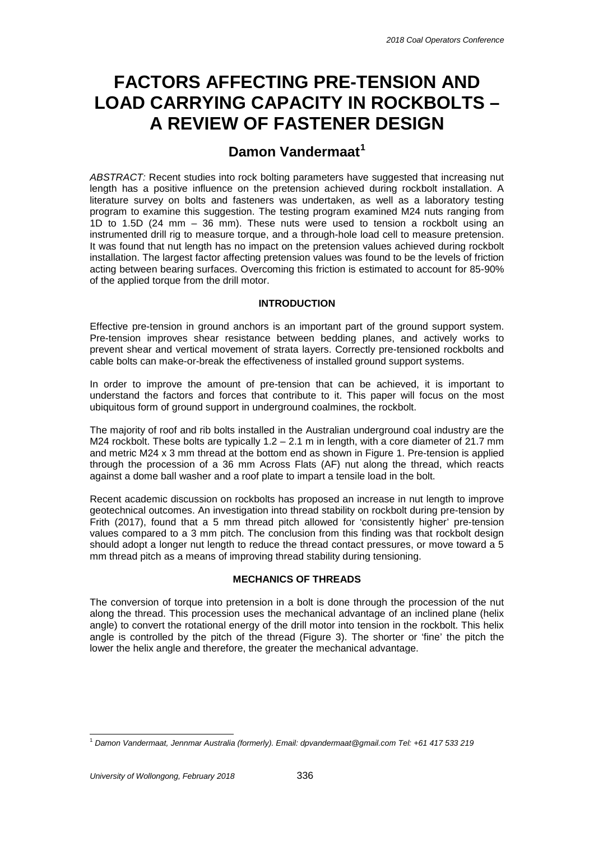## **FACTORS AFFECTING PRE-TENSION AND LOAD CARRYING CAPACITY IN ROCKBOLTS – A REVIEW OF FASTENER DESIGN**

### **Damon Vandermaat<sup>1</sup>**

*ABSTRACT:* Recent studies into rock bolting parameters have suggested that increasing nut length has a positive influence on the pretension achieved during rockbolt installation. A literature survey on bolts and fasteners was undertaken, as well as a laboratory testing program to examine this suggestion. The testing program examined M24 nuts ranging from 1D to 1.5D (24 mm – 36 mm). These nuts were used to tension a rockbolt using an instrumented drill rig to measure torque, and a through-hole load cell to measure pretension. It was found that nut length has no impact on the pretension values achieved during rockbolt installation. The largest factor affecting pretension values was found to be the levels of friction acting between bearing surfaces. Overcoming this friction is estimated to account for 85-90% of the applied torque from the drill motor.

#### **INTRODUCTION**

Effective pre-tension in ground anchors is an important part of the ground support system. Pre-tension improves shear resistance between bedding planes, and actively works to prevent shear and vertical movement of strata layers. Correctly pre-tensioned rockbolts and cable bolts can make-or-break the effectiveness of installed ground support systems.

In order to improve the amount of pre-tension that can be achieved, it is important to understand the factors and forces that contribute to it. This paper will focus on the most ubiquitous form of ground support in underground coalmines, the rockbolt.

The majority of roof and rib bolts installed in the Australian underground coal industry are the M24 rockbolt. These bolts are typically  $1.2 - 2.1$  m in length, with a core diameter of 21.7 mm and metric M24 x 3 mm thread at the bottom end as shown in Figure 1. Pre-tension is applied through the procession of a 36 mm Across Flats (AF) nut along the thread, which reacts against a dome ball washer and a roof plate to impart a tensile load in the bolt.

Recent academic discussion on rockbolts has proposed an increase in nut length to improve geotechnical outcomes. An investigation into thread stability on rockbolt during pre-tension by Frith (2017), found that a 5 mm thread pitch allowed for 'consistently higher' pre-tension values compared to a 3 mm pitch. The conclusion from this finding was that rockbolt design should adopt a longer nut length to reduce the thread contact pressures, or move toward a 5 mm thread pitch as a means of improving thread stability during tensioning.

#### **MECHANICS OF THREADS**

The conversion of torque into pretension in a bolt is done through the procession of the nut along the thread. This procession uses the mechanical advantage of an inclined plane (helix angle) to convert the rotational energy of the drill motor into tension in the rockbolt. This helix angle is controlled by the pitch of the thread (Figure 3). The shorter or 'fine' the pitch the lower the helix angle and therefore, the greater the mechanical advantage.

 <sup>1</sup> *Damon Vandermaat, Jennmar Australia (formerly). Email: [dpvandermaat@gmail.com](mailto:dpvandermaat@gmail.com) Tel: +61 417 533 219*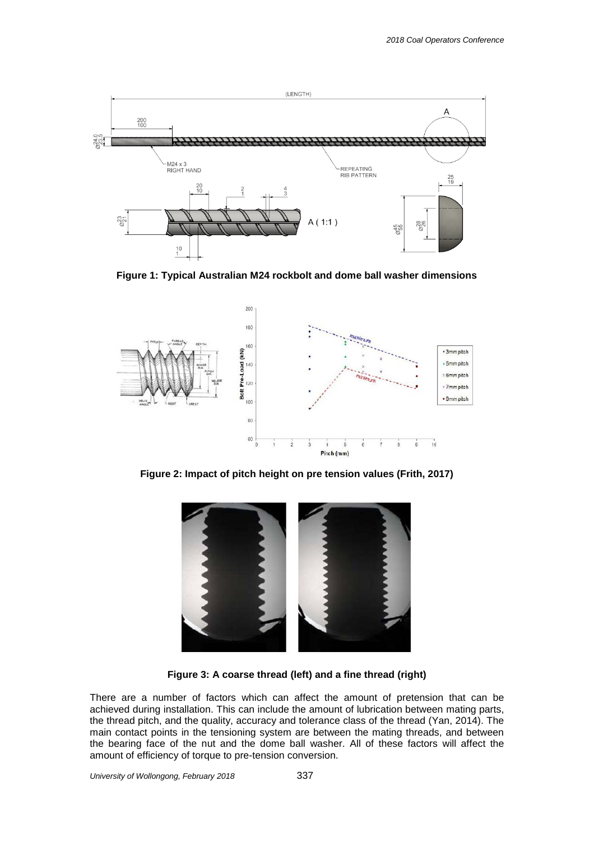

**Figure 1: Typical Australian M24 rockbolt and dome ball washer dimensions**



**Figure 2: Impact of pitch height on pre tension values (Frith, 2017)**



**Figure 3: A coarse thread (left) and a fine thread (right)**

There are a number of factors which can affect the amount of pretension that can be achieved during installation. This can include the amount of lubrication between mating parts, the thread pitch, and the quality, accuracy and tolerance class of the thread (Yan, 2014). The main contact points in the tensioning system are between the mating threads, and between the bearing face of the nut and the dome ball washer. All of these factors will affect the amount of efficiency of torque to pre-tension conversion.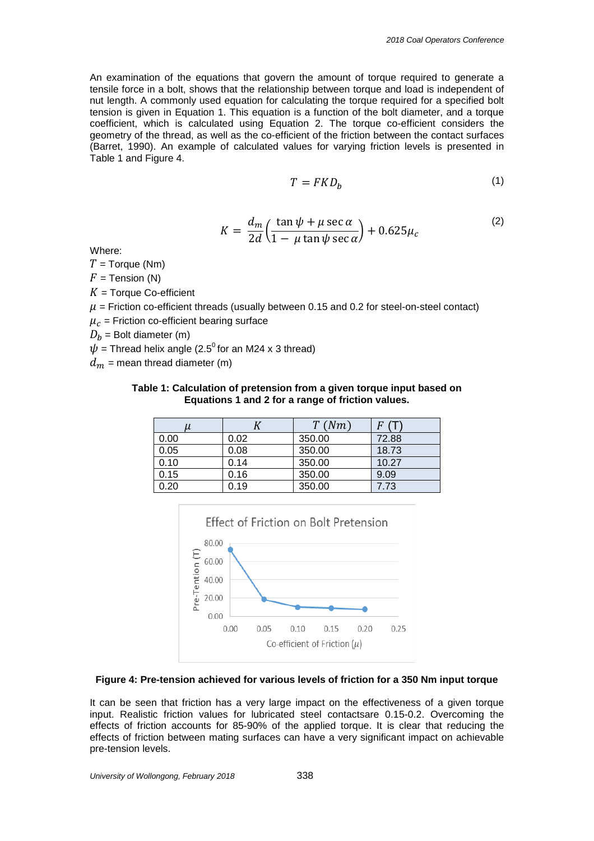An examination of the equations that govern the amount of torque required to generate a tensile force in a bolt, shows that the relationship between torque and load is independent of nut length. A commonly used equation for calculating the torque required for a specified bolt tension is given in Equation 1. This equation is a function of the bolt diameter, and a torque coefficient, which is calculated using Equation 2. The torque co-efficient considers the geometry of the thread, as well as the co-efficient of the friction between the contact surfaces (Barret, 1990). An example of calculated values for varying friction levels is presented in Table 1 and Figure 4.

$$
T = FKD_b \tag{1}
$$

$$
K = \frac{d_m}{2d} \left( \frac{\tan \psi + \mu \sec \alpha}{1 - \mu \tan \psi \sec \alpha} \right) + 0.625 \mu_c \tag{2}
$$

Where:

 $T =$  Torque (Nm)

 $F =$  Tension (N)

 $K =$  Torque Co-efficient

 $\mu$  = Friction co-efficient threads (usually between 0.15 and 0.2 for steel-on-steel contact)

 $\mu_c$  = Friction co-efficient bearing surface

 $D_h$  = Bolt diameter (m)

 $\psi$  = Thread helix angle (2.5<sup>0</sup> for an M24 x 3 thread)

 $d_m$  = mean thread diameter (m)

#### **Table 1: Calculation of pretension from a given torque input based on Equations 1 and 2 for a range of friction values.**

| и    |      | T(Nm)  |       |
|------|------|--------|-------|
| 0.00 | 0.02 | 350.00 | 72.88 |
| 0.05 | 0.08 | 350.00 | 18.73 |
| 0.10 | 0.14 | 350.00 | 10.27 |
| 0.15 | 0.16 | 350.00 | 9.09  |
| 0.20 | 0.19 | 350.00 | 7.73  |



#### **Figure 4: Pre-tension achieved for various levels of friction for a 350 Nm input torque**

It can be seen that friction has a very large impact on the effectiveness of a given torque input. Realistic friction values for lubricated steel contactsare 0.15-0.2. Overcoming the effects of friction accounts for 85-90% of the applied torque. It is clear that reducing the effects of friction between mating surfaces can have a very significant impact on achievable pre-tension levels.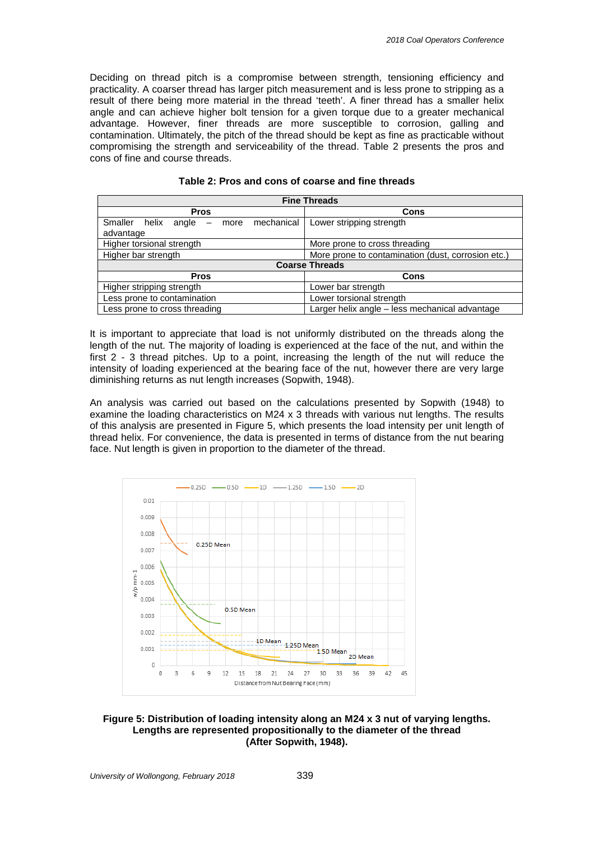Deciding on thread pitch is a compromise between strength, tensioning efficiency and practicality. A coarser thread has larger pitch measurement and is less prone to stripping as a result of there being more material in the thread 'teeth'. A finer thread has a smaller helix angle and can achieve higher bolt tension for a given torque due to a greater mechanical advantage. However, finer threads are more susceptible to corrosion, galling and contamination. Ultimately, the pitch of the thread should be kept as fine as practicable without compromising the strength and serviceability of the thread. Table 2 presents the pros and cons of fine and course threads.

| <b>Fine Threads</b>                                              |                                                    |  |  |  |  |
|------------------------------------------------------------------|----------------------------------------------------|--|--|--|--|
| <b>Pros</b>                                                      | Cons                                               |  |  |  |  |
| mechanical<br>Smaller helix<br>angle<br>more<br>$-$<br>advantage | Lower stripping strength                           |  |  |  |  |
| Higher torsional strength                                        | More prone to cross threading                      |  |  |  |  |
| Higher bar strength                                              | More prone to contamination (dust, corrosion etc.) |  |  |  |  |
| <b>Coarse Threads</b>                                            |                                                    |  |  |  |  |
| <b>Pros</b>                                                      | Cons                                               |  |  |  |  |
| Higher stripping strength                                        | Lower bar strength                                 |  |  |  |  |
| Less prone to contamination                                      | Lower torsional strength                           |  |  |  |  |
| Less prone to cross threading                                    | Larger helix angle - less mechanical advantage     |  |  |  |  |

| Table 2: Pros and cons of coarse and fine threads |
|---------------------------------------------------|
|---------------------------------------------------|

It is important to appreciate that load is not uniformly distributed on the threads along the length of the nut. The majority of loading is experienced at the face of the nut, and within the first 2 - 3 thread pitches. Up to a point, increasing the length of the nut will reduce the intensity of loading experienced at the bearing face of the nut, however there are very large diminishing returns as nut length increases (Sopwith, 1948).

An analysis was carried out based on the calculations presented by Sopwith (1948) to examine the loading characteristics on M24 x 3 threads with various nut lengths. The results of this analysis are presented in Figure 5, which presents the load intensity per unit length of thread helix. For convenience, the data is presented in terms of distance from the nut bearing face. Nut length is given in proportion to the diameter of the thread.



#### **Figure 5: Distribution of loading intensity along an M24 x 3 nut of varying lengths. Lengths are represented propositionally to the diameter of the thread (After Sopwith, 1948).**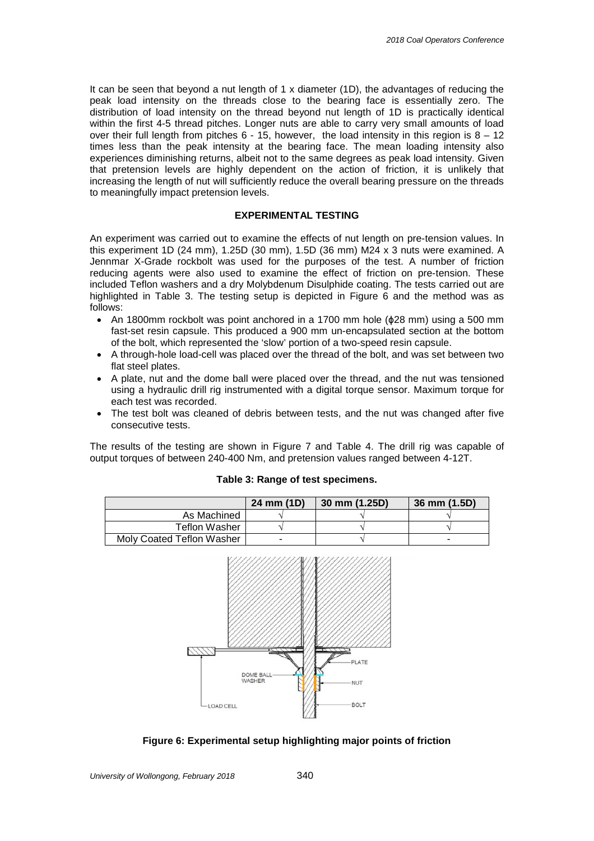It can be seen that beyond a nut length of 1 x diameter (1D), the advantages of reducing the peak load intensity on the threads close to the bearing face is essentially zero. The distribution of load intensity on the thread beyond nut length of 1D is practically identical within the first 4-5 thread pitches. Longer nuts are able to carry very small amounts of load over their full length from pitches  $6 - 15$ , however, the load intensity in this region is  $8 - 12$ times less than the peak intensity at the bearing face. The mean loading intensity also experiences diminishing returns, albeit not to the same degrees as peak load intensity. Given that pretension levels are highly dependent on the action of friction, it is unlikely that increasing the length of nut will sufficiently reduce the overall bearing pressure on the threads to meaningfully impact pretension levels.

#### **EXPERIMENTAL TESTING**

An experiment was carried out to examine the effects of nut length on pre-tension values. In this experiment 1D (24 mm), 1.25D (30 mm), 1.5D (36 mm) M24 x 3 nuts were examined. A Jennmar X-Grade rockbolt was used for the purposes of the test. A number of friction reducing agents were also used to examine the effect of friction on pre-tension. These included Teflon washers and a dry Molybdenum Disulphide coating. The tests carried out are highlighted in Table 3. The testing setup is depicted in Figure 6 and the method was as follows:

- An 1800mm rockbolt was point anchored in a 1700 mm hole (ϕ28 mm) using a 500 mm fast-set resin capsule. This produced a 900 mm un-encapsulated section at the bottom of the bolt, which represented the 'slow' portion of a two-speed resin capsule.
- A through-hole load-cell was placed over the thread of the bolt, and was set between two flat steel plates.
- A plate, nut and the dome ball were placed over the thread, and the nut was tensioned using a hydraulic drill rig instrumented with a digital torque sensor. Maximum torque for each test was recorded.
- The test bolt was cleaned of debris between tests, and the nut was changed after five consecutive tests.

The results of the testing are shown in Figure 7 and Table 4. The drill rig was capable of output torques of between 240-400 Nm, and pretension values ranged between 4-12T.

|                           | 24 mm (1D) | 30 mm (1.25D) | 36 mm (1.5D) |
|---------------------------|------------|---------------|--------------|
| As Machined               |            |               |              |
| Teflon Washer             |            |               |              |
| Moly Coated Teflon Washer |            |               | -            |



#### **Figure 6: Experimental setup highlighting major points of friction**

#### **Table 3: Range of test specimens.**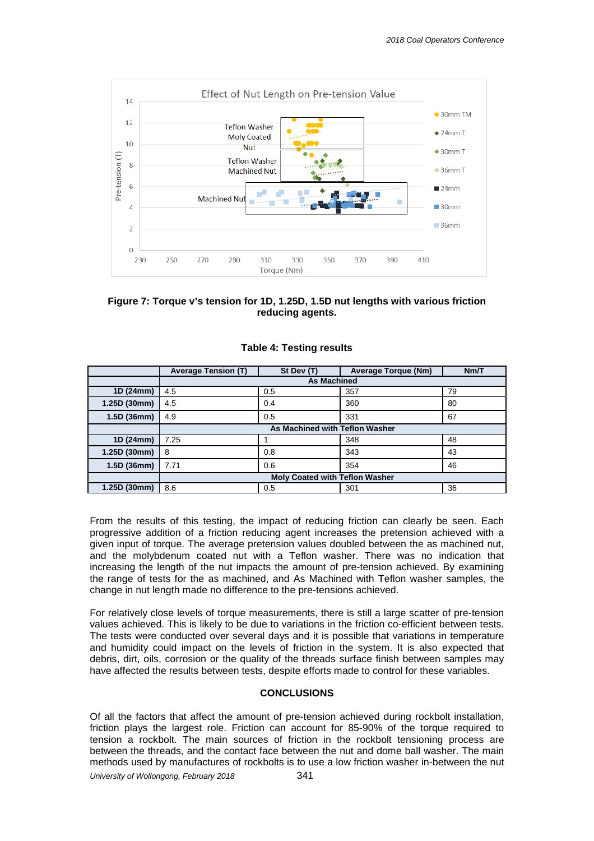



|              | <b>Average Tension (T)</b>            | St Dev (T) | <b>Average Torque (Nm)</b> | Nm/T |  |
|--------------|---------------------------------------|------------|----------------------------|------|--|
|              | <b>As Machined</b>                    |            |                            |      |  |
| 1D (24mm)    | 4.5                                   | 0.5        | 357                        | 79   |  |
| 1.25D (30mm) | 4.5                                   | 0.4        | 360                        | 80   |  |
| 1.5D (36mm)  | 4.9                                   | 0.5        | 331                        | 67   |  |
|              | As Machined with Teflon Washer        |            |                            |      |  |
| 1D (24mm)    | 7.25                                  |            | 348                        | 48   |  |
| 1.25D (30mm) | 8                                     | 0.8        | 343                        | 43   |  |
| 1.5D(36mm)   | 7.71                                  | 0.6        | 354                        | 46   |  |
|              | <b>Moly Coated with Teflon Washer</b> |            |                            |      |  |
| 1.25D (30mm) | 8.6                                   | 0.5        | 301                        | 36   |  |

#### **Table 4: Testing results**

From the results of this testing, the impact of reducing friction can clearly be seen. Each progressive addition of a friction reducing agent increases the pretension achieved with a given input of torque. The average pretension values doubled between the as machined nut, and the molybdenum coated nut with a Teflon washer. There was no indication that increasing the length of the nut impacts the amount of pre-tension achieved. By examining the range of tests for the as machined, and As Machined with Teflon washer samples, the change in nut length made no difference to the pre-tensions achieved.

For relatively close levels of torque measurements, there is still a large scatter of pre-tension values achieved. This is likely to be due to variations in the friction co-efficient between tests. The tests were conducted over several days and it is possible that variations in temperature and humidity could impact on the levels of friction in the system. It is also expected that debris, dirt, oils, corrosion or the quality of the threads surface finish between samples may have affected the results between tests, despite efforts made to control for these variables.

#### **CONCLUSIONS**

Of all the factors that affect the amount of pre-tension achieved during rockbolt installation, friction plays the largest role. Friction can account for 85-90% of the torque required to tension a rockbolt. The main sources of friction in the rockbolt tensioning process are between the threads, and the contact face between the nut and dome ball washer. The main methods used by manufactures of rockbolts is to use a low friction washer in-between the nut